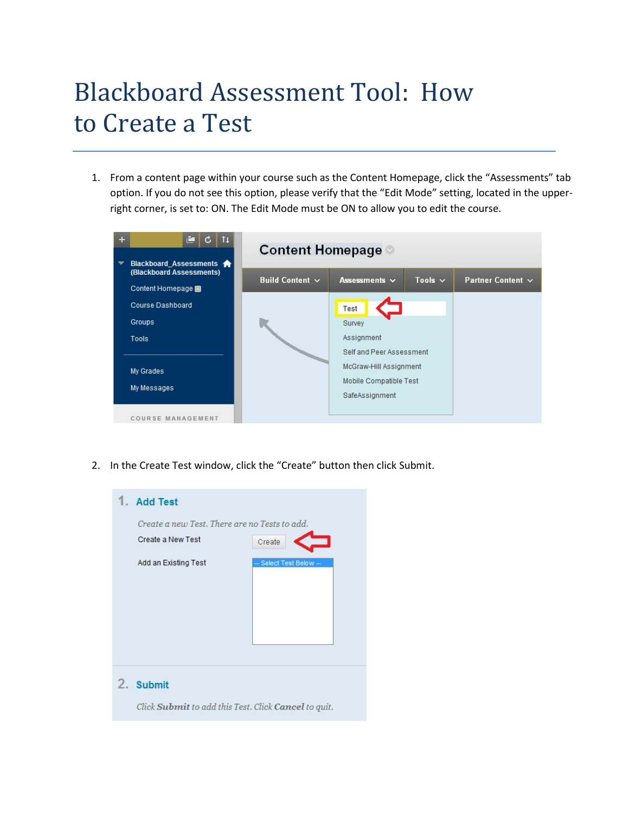# Blackboard Assessment Tool: How to Create a Test

1. From a content page within your course such as the Content Homepage, click the "Assessments" tab option. If you do not see this option, please verify that the "Edit Mode" setting, located in the upperright corner, is set to: ON. The Edit Mode must be ON to allow you to edit the course.



2. In the Create Test window, click the "Create" button then click Submit.



Click Submit to add this Test. Click Cancel to quit.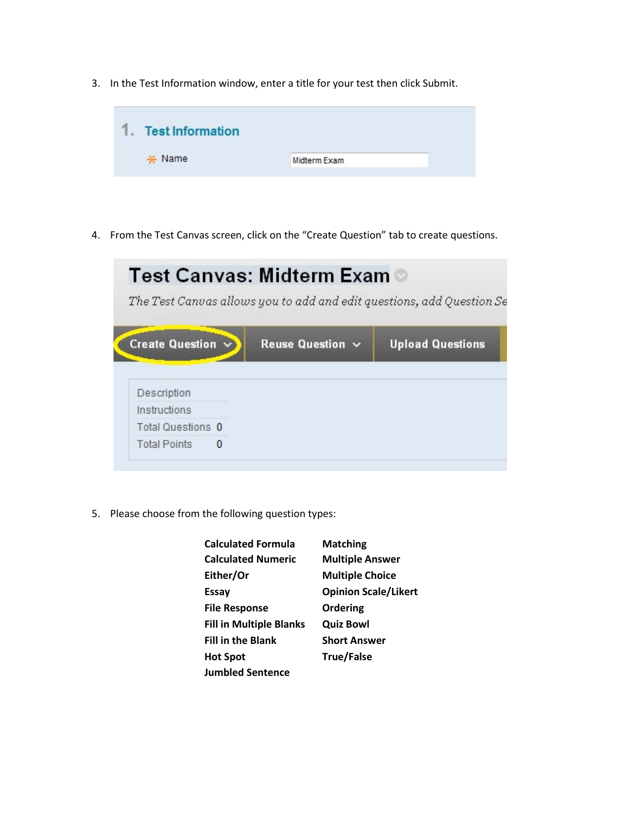3. In the Test Information window, enter a title for your test then click Submit.



4. From the Test Canvas screen, click on the "Create Question" tab to create questions.

| Test Canvas: Midterm Exam ◎ |                       |                                                                       |
|-----------------------------|-----------------------|-----------------------------------------------------------------------|
|                             |                       | The Test Canvas allows you to add and edit questions, add Question Se |
| Create Question $\vee$      | Reuse Question $\sim$ | <b>Upload Questions</b>                                               |
|                             |                       |                                                                       |
| Description                 |                       |                                                                       |
| Instructions                |                       |                                                                       |
| <b>Total Questions 0</b>    |                       |                                                                       |
|                             |                       |                                                                       |

5. Please choose from the following question types:

| <b>Calculated Formula</b>      | <b>Matching</b>             |
|--------------------------------|-----------------------------|
| <b>Calculated Numeric</b>      | <b>Multiple Answer</b>      |
| Either/Or                      | <b>Multiple Choice</b>      |
| <b>Essay</b>                   | <b>Opinion Scale/Likert</b> |
| <b>File Response</b>           | Ordering                    |
| <b>Fill in Multiple Blanks</b> | <b>Quiz Bowl</b>            |
| <b>Fill in the Blank</b>       | <b>Short Answer</b>         |
| <b>Hot Spot</b>                | <b>True/False</b>           |
| <b>Jumbled Sentence</b>        |                             |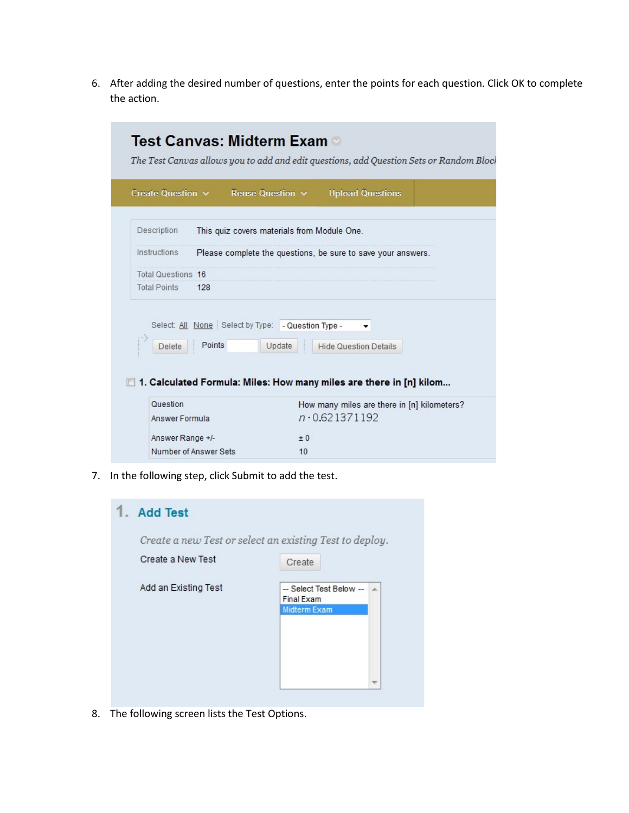6. After adding the desired number of questions, enter the points for each question. Click OK to complete the action.

| Description<br>Instructions<br><b>Total Questions 16</b> | This quiz covers materials from Module One.<br>Please complete the questions, be sure to save your answers. |
|----------------------------------------------------------|-------------------------------------------------------------------------------------------------------------|
|                                                          |                                                                                                             |
|                                                          |                                                                                                             |
|                                                          |                                                                                                             |
| <b>Total Points</b>                                      | 128                                                                                                         |
| <b>Delete</b>                                            | Select: All None Select by Type: - Question Type -<br>Points<br>Update<br><b>Hide Question Details</b>      |
|                                                          | 1. Calculated Formula: Miles: How many miles are there in [n] kilom                                         |

7. In the following step, click Submit to add the test.

| <b>Add Test</b>      |                                                                                |
|----------------------|--------------------------------------------------------------------------------|
|                      | Create a new Test or select an existing Test to deploy.                        |
| Create a New Test    | Create                                                                         |
| Add an Existing Test | -- Select Test Below --<br>$\overline{a}$<br>Final Exam<br><b>Midterm Exam</b> |
|                      |                                                                                |

8. The following screen lists the Test Options.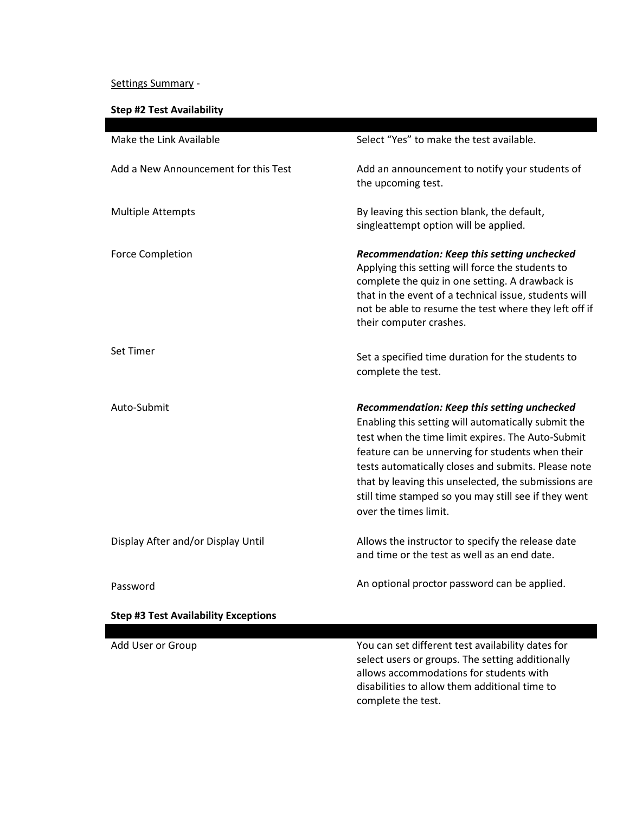## Settings Summary -

# **Step #2 Test Availability**

| Make the Link Available                     | Select "Yes" to make the test available.                                                                                                                                                                                                                                                                                                                                                                    |
|---------------------------------------------|-------------------------------------------------------------------------------------------------------------------------------------------------------------------------------------------------------------------------------------------------------------------------------------------------------------------------------------------------------------------------------------------------------------|
| Add a New Announcement for this Test        | Add an announcement to notify your students of<br>the upcoming test.                                                                                                                                                                                                                                                                                                                                        |
| <b>Multiple Attempts</b>                    | By leaving this section blank, the default,<br>singleattempt option will be applied.                                                                                                                                                                                                                                                                                                                        |
| <b>Force Completion</b>                     | Recommendation: Keep this setting unchecked<br>Applying this setting will force the students to<br>complete the quiz in one setting. A drawback is<br>that in the event of a technical issue, students will<br>not be able to resume the test where they left off if<br>their computer crashes.                                                                                                             |
| Set Timer                                   | Set a specified time duration for the students to<br>complete the test.                                                                                                                                                                                                                                                                                                                                     |
| Auto-Submit                                 | Recommendation: Keep this setting unchecked<br>Enabling this setting will automatically submit the<br>test when the time limit expires. The Auto-Submit<br>feature can be unnerving for students when their<br>tests automatically closes and submits. Please note<br>that by leaving this unselected, the submissions are<br>still time stamped so you may still see if they went<br>over the times limit. |
| Display After and/or Display Until          | Allows the instructor to specify the release date<br>and time or the test as well as an end date.                                                                                                                                                                                                                                                                                                           |
| Password                                    | An optional proctor password can be applied.                                                                                                                                                                                                                                                                                                                                                                |
| <b>Step #3 Test Availability Exceptions</b> |                                                                                                                                                                                                                                                                                                                                                                                                             |
| Add User or Group                           | You can set different test availability dates for<br>select users or groups. The setting additionally<br>allows accommodations for students with                                                                                                                                                                                                                                                            |

disabilities to allow them additional time to

complete the test.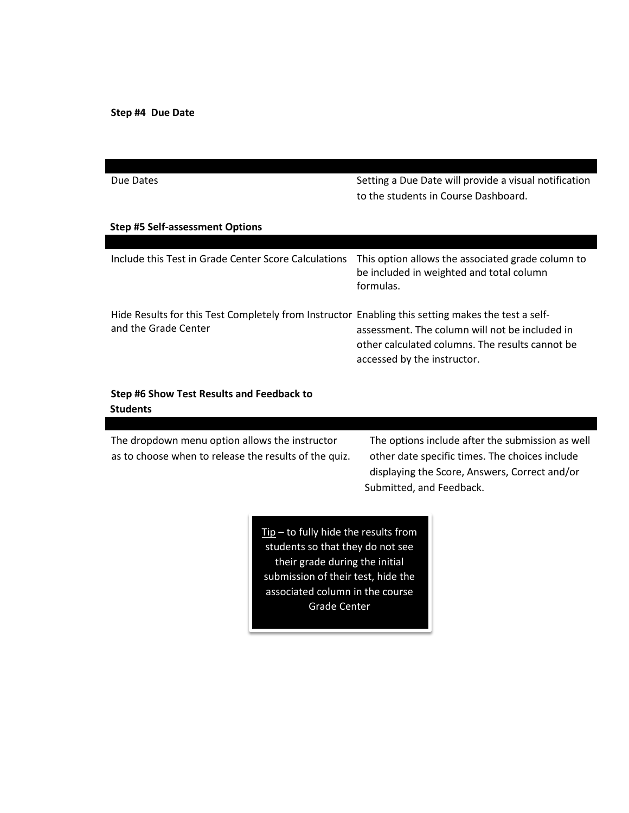**Step #4 Due Date** 

| Due Dates                                                                                                                  | Setting a Due Date will provide a visual notification<br>to the students in Course Dashboard.                                    |
|----------------------------------------------------------------------------------------------------------------------------|----------------------------------------------------------------------------------------------------------------------------------|
| <b>Step #5 Self-assessment Options</b>                                                                                     |                                                                                                                                  |
|                                                                                                                            |                                                                                                                                  |
| Include this Test in Grade Center Score Calculations                                                                       | This option allows the associated grade column to<br>be included in weighted and total column<br>formulas.                       |
| Hide Results for this Test Completely from Instructor Enabling this setting makes the test a self-<br>and the Grade Center | assessment. The column will not be included in<br>other calculated columns. The results cannot be<br>accessed by the instructor. |

### **Step #6 Show Test Results and Feedback to Students**

The dropdown menu option allows the instructor The options include after the submission as well as to choose when to release the results of the quiz. other date specific times. The choices include

displaying the Score, Answers, Correct and/or Submitted, and Feedback.

 $Tip - to fully hide the results from$ students so that they do not see their grade during the initial submission of their test, hide the associated column in the course Grade Center